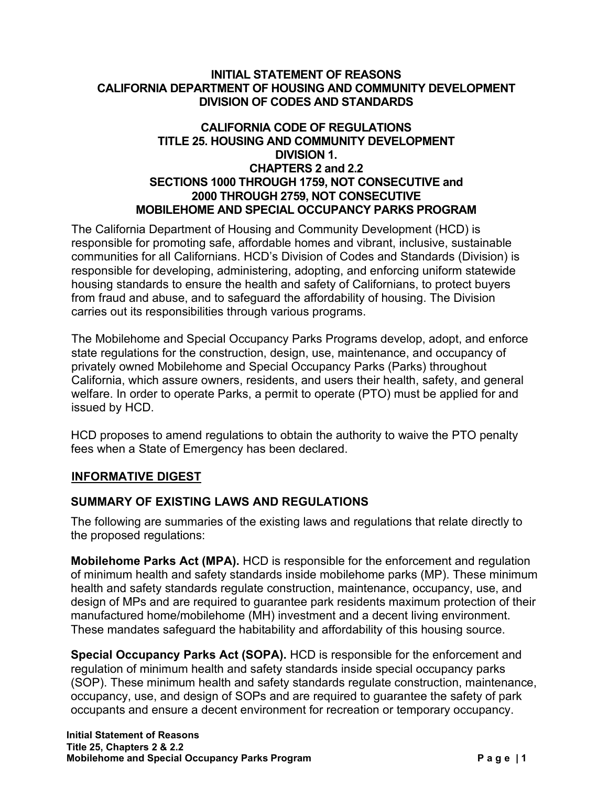#### **INITIAL STATEMENT OF REASONS CALIFORNIA DEPARTMENT OF HOUSING AND COMMUNITY DEVELOPMENT DIVISION OF CODES AND STANDARDS**

#### **CALIFORNIA CODE OF REGULATIONS TITLE 25. HOUSING AND COMMUNITY DEVELOPMENT DIVISION 1. CHAPTERS 2 and 2.2 SECTIONS 1000 THROUGH 1759, NOT CONSECUTIVE and 2000 THROUGH 2759, NOT CONSECUTIVE MOBILEHOME AND SPECIAL OCCUPANCY PARKS PROGRAM**

The California Department of Housing and Community Development (HCD) is responsible for promoting safe, affordable homes and vibrant, inclusive, sustainable communities for all Californians. HCD's Division of Codes and Standards (Division) is responsible for developing, administering, adopting, and enforcing uniform statewide housing standards to ensure the health and safety of Californians, to protect buyers from fraud and abuse, and to safeguard the affordability of housing. The Division carries out its responsibilities through various programs.

The Mobilehome and Special Occupancy Parks Programs develop, adopt, and enforce state regulations for the construction, design, use, maintenance, and occupancy of privately owned Mobilehome and Special Occupancy Parks (Parks) throughout California, which assure owners, residents, and users their health, safety, and general welfare. In order to operate Parks, a permit to operate (PTO) must be applied for and issued by HCD.

HCD proposes to amend regulations to obtain the authority to waive the PTO penalty fees when a State of Emergency has been declared.

### **INFORMATIVE DIGEST**

### **SUMMARY OF EXISTING LAWS AND REGULATIONS**

The following are summaries of the existing laws and regulations that relate directly to the proposed regulations:

**Mobilehome Parks Act (MPA).** HCD is responsible for the enforcement and regulation of minimum health and safety standards inside mobilehome parks (MP). These minimum health and safety standards regulate construction, maintenance, occupancy, use, and design of MPs and are required to guarantee park residents maximum protection of their manufactured home/mobilehome (MH) investment and a decent living environment. These mandates safeguard the habitability and affordability of this housing source.

**Special Occupancy Parks Act (SOPA).** HCD is responsible for the enforcement and regulation of minimum health and safety standards inside special occupancy parks (SOP). These minimum health and safety standards regulate construction, maintenance, occupancy, use, and design of SOPs and are required to guarantee the safety of park occupants and ensure a decent environment for recreation or temporary occupancy.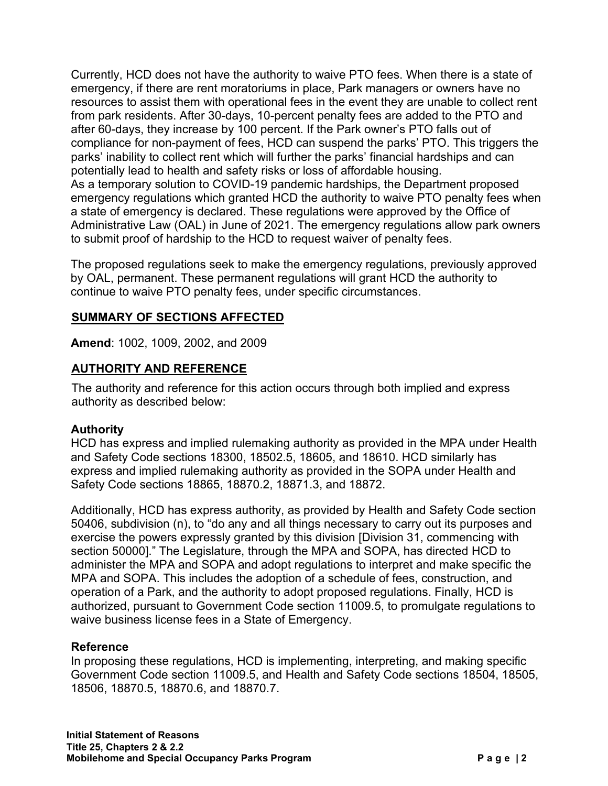Currently, HCD does not have the authority to waive PTO fees. When there is a state of emergency, if there are rent moratoriums in place, Park managers or owners have no resources to assist them with operational fees in the event they are unable to collect rent from park residents. After 30-days, 10-percent penalty fees are added to the PTO and after 60-days, they increase by 100 percent. If the Park owner's PTO falls out of compliance for non-payment of fees, HCD can suspend the parks' PTO. This triggers the parks' inability to collect rent which will further the parks' financial hardships and can potentially lead to health and safety risks or loss of affordable housing. As a temporary solution to COVID-19 pandemic hardships, the Department proposed emergency regulations which granted HCD the authority to waive PTO penalty fees when a state of emergency is declared. These regulations were approved by the Office of Administrative Law (OAL) in June of 2021. The emergency regulations allow park owners to submit proof of hardship to the HCD to request waiver of penalty fees.

The proposed regulations seek to make the emergency regulations, previously approved by OAL, permanent. These permanent regulations will grant HCD the authority to continue to waive PTO penalty fees, under specific circumstances.

## **SUMMARY OF SECTIONS AFFECTED**

**Amend**: 1002, 1009, 2002, and 2009

## **AUTHORITY AND REFERENCE**

The authority and reference for this action occurs through both implied and express authority as described below:

### **Authority**

HCD has express and implied rulemaking authority as provided in the MPA under Health and Safety Code sections 18300, 18502.5, 18605, and 18610. HCD similarly has express and implied rulemaking authority as provided in the SOPA under Health and Safety Code sections 18865, 18870.2, 18871.3, and 18872.

Additionally, HCD has express authority, as provided by Health and Safety Code section 50406, subdivision (n), to "do any and all things necessary to carry out its purposes and exercise the powers expressly granted by this division [Division 31, commencing with section 50000]." The Legislature, through the MPA and SOPA, has directed HCD to administer the MPA and SOPA and adopt regulations to interpret and make specific the MPA and SOPA. This includes the adoption of a schedule of fees, construction, and operation of a Park, and the authority to adopt proposed regulations. Finally, HCD is authorized, pursuant to Government Code section 11009.5, to promulgate regulations to waive business license fees in a State of Emergency.

### **Reference**

In proposing these regulations, HCD is implementing, interpreting, and making specific Government Code section 11009.5, and Health and Safety Code sections 18504, 18505, 18506, 18870.5, 18870.6, and 18870.7.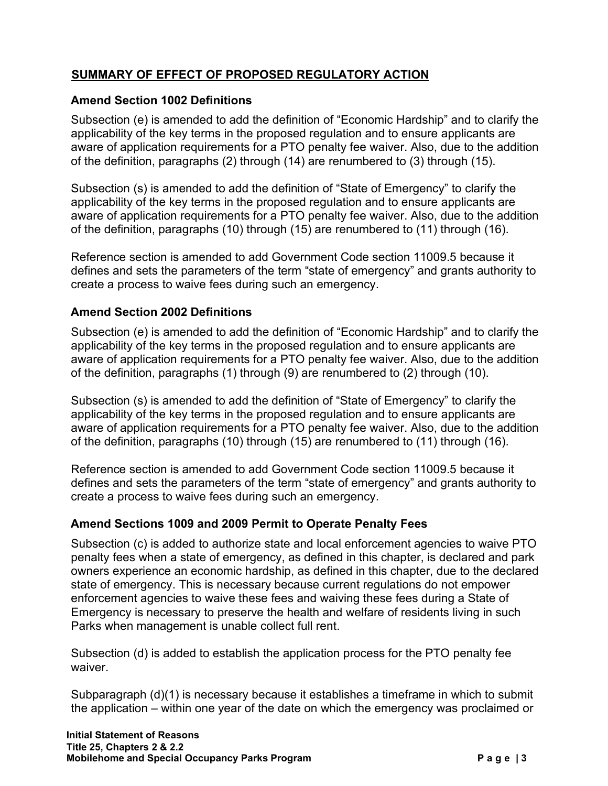# **SUMMARY OF EFFECT OF PROPOSED REGULATORY ACTION**

## **Amend Section 1002 Definitions**

Subsection (e) is amended to add the definition of "Economic Hardship" and to clarify the applicability of the key terms in the proposed regulation and to ensure applicants are aware of application requirements for a PTO penalty fee waiver. Also, due to the addition of the definition, paragraphs (2) through (14) are renumbered to (3) through (15).

Subsection (s) is amended to add the definition of "State of Emergency" to clarify the applicability of the key terms in the proposed regulation and to ensure applicants are aware of application requirements for a PTO penalty fee waiver. Also, due to the addition of the definition, paragraphs (10) through (15) are renumbered to (11) through (16).

Reference section is amended to add Government Code section 11009.5 because it defines and sets the parameters of the term "state of emergency" and grants authority to create a process to waive fees during such an emergency.

## **Amend Section 2002 Definitions**

Subsection (e) is amended to add the definition of "Economic Hardship" and to clarify the applicability of the key terms in the proposed regulation and to ensure applicants are aware of application requirements for a PTO penalty fee waiver. Also, due to the addition of the definition, paragraphs (1) through (9) are renumbered to (2) through (10).

Subsection (s) is amended to add the definition of "State of Emergency" to clarify the applicability of the key terms in the proposed regulation and to ensure applicants are aware of application requirements for a PTO penalty fee waiver. Also, due to the addition of the definition, paragraphs (10) through (15) are renumbered to (11) through (16).

Reference section is amended to add Government Code section 11009.5 because it defines and sets the parameters of the term "state of emergency" and grants authority to create a process to waive fees during such an emergency.

### **Amend Sections 1009 and 2009 Permit to Operate Penalty Fees**

Subsection (c) is added to authorize state and local enforcement agencies to waive PTO penalty fees when a state of emergency, as defined in this chapter, is declared and park owners experience an economic hardship, as defined in this chapter, due to the declared state of emergency. This is necessary because current regulations do not empower enforcement agencies to waive these fees and waiving these fees during a State of Emergency is necessary to preserve the health and welfare of residents living in such Parks when management is unable collect full rent.

Subsection (d) is added to establish the application process for the PTO penalty fee waiver.

Subparagraph (d)(1) is necessary because it establishes a timeframe in which to submit the application – within one year of the date on which the emergency was proclaimed or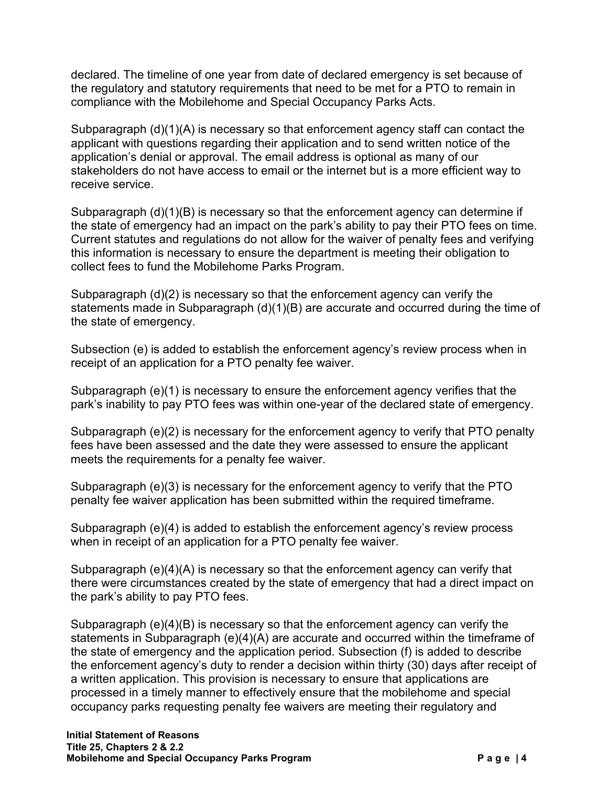declared. The timeline of one year from date of declared emergency is set because of the regulatory and statutory requirements that need to be met for a PTO to remain in compliance with the Mobilehome and Special Occupancy Parks Acts.

Subparagraph (d)(1)(A) is necessary so that enforcement agency staff can contact the applicant with questions regarding their application and to send written notice of the application's denial or approval. The email address is optional as many of our stakeholders do not have access to email or the internet but is a more efficient way to receive service.

Subparagraph (d)(1)(B) is necessary so that the enforcement agency can determine if the state of emergency had an impact on the park's ability to pay their PTO fees on time. Current statutes and regulations do not allow for the waiver of penalty fees and verifying this information is necessary to ensure the department is meeting their obligation to collect fees to fund the Mobilehome Parks Program.

Subparagraph (d)(2) is necessary so that the enforcement agency can verify the statements made in Subparagraph (d)(1)(B) are accurate and occurred during the time of the state of emergency.

Subsection (e) is added to establish the enforcement agency's review process when in receipt of an application for a PTO penalty fee waiver.

Subparagraph (e)(1) is necessary to ensure the enforcement agency verifies that the park's inability to pay PTO fees was within one-year of the declared state of emergency.

Subparagraph (e)(2) is necessary for the enforcement agency to verify that PTO penalty fees have been assessed and the date they were assessed to ensure the applicant meets the requirements for a penalty fee waiver.

Subparagraph (e)(3) is necessary for the enforcement agency to verify that the PTO penalty fee waiver application has been submitted within the required timeframe.

Subparagraph (e)(4) is added to establish the enforcement agency's review process when in receipt of an application for a PTO penalty fee waiver.

Subparagraph (e)(4)(A) is necessary so that the enforcement agency can verify that there were circumstances created by the state of emergency that had a direct impact on the park's ability to pay PTO fees.

Subparagraph (e)(4)(B) is necessary so that the enforcement agency can verify the statements in Subparagraph (e)(4)(A) are accurate and occurred within the timeframe of the state of emergency and the application period. Subsection (f) is added to describe the enforcement agency's duty to render a decision within thirty (30) days after receipt of a written application. This provision is necessary to ensure that applications are processed in a timely manner to effectively ensure that the mobilehome and special occupancy parks requesting penalty fee waivers are meeting their regulatory and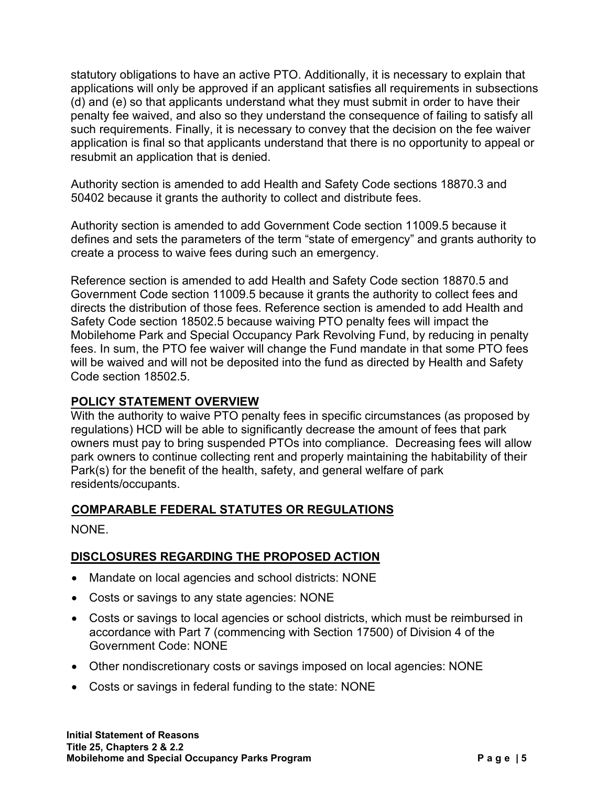statutory obligations to have an active PTO. Additionally, it is necessary to explain that applications will only be approved if an applicant satisfies all requirements in subsections (d) and (e) so that applicants understand what they must submit in order to have their penalty fee waived, and also so they understand the consequence of failing to satisfy all such requirements. Finally, it is necessary to convey that the decision on the fee waiver application is final so that applicants understand that there is no opportunity to appeal or resubmit an application that is denied.

Authority section is amended to add Health and Safety Code sections 18870.3 and 50402 because it grants the authority to collect and distribute fees.

Authority section is amended to add Government Code section 11009.5 because it defines and sets the parameters of the term "state of emergency" and grants authority to create a process to waive fees during such an emergency.

Reference section is amended to add Health and Safety Code section 18870.5 and Government Code section 11009.5 because it grants the authority to collect fees and directs the distribution of those fees. Reference section is amended to add Health and Safety Code section 18502.5 because waiving PTO penalty fees will impact the Mobilehome Park and Special Occupancy Park Revolving Fund, by reducing in penalty fees. In sum, the PTO fee waiver will change the Fund mandate in that some PTO fees will be waived and will not be deposited into the fund as directed by Health and Safety Code section 18502.5.

### **POLICY STATEMENT OVERVIEW**

With the authority to waive PTO penalty fees in specific circumstances (as proposed by regulations) HCD will be able to significantly decrease the amount of fees that park owners must pay to bring suspended PTOs into compliance. Decreasing fees will allow park owners to continue collecting rent and properly maintaining the habitability of their Park(s) for the benefit of the health, safety, and general welfare of park residents/occupants.

## **COMPARABLE FEDERAL STATUTES OR REGULATIONS**

NONE.

## **DISCLOSURES REGARDING THE PROPOSED ACTION**

- Mandate on local agencies and school districts: NONE
- Costs or savings to any state agencies: NONE
- Costs or savings to local agencies or school districts, which must be reimbursed in accordance with Part 7 (commencing with Section 17500) of Division 4 of the Government Code: NONE
- Other nondiscretionary costs or savings imposed on local agencies: NONE
- Costs or savings in federal funding to the state: NONE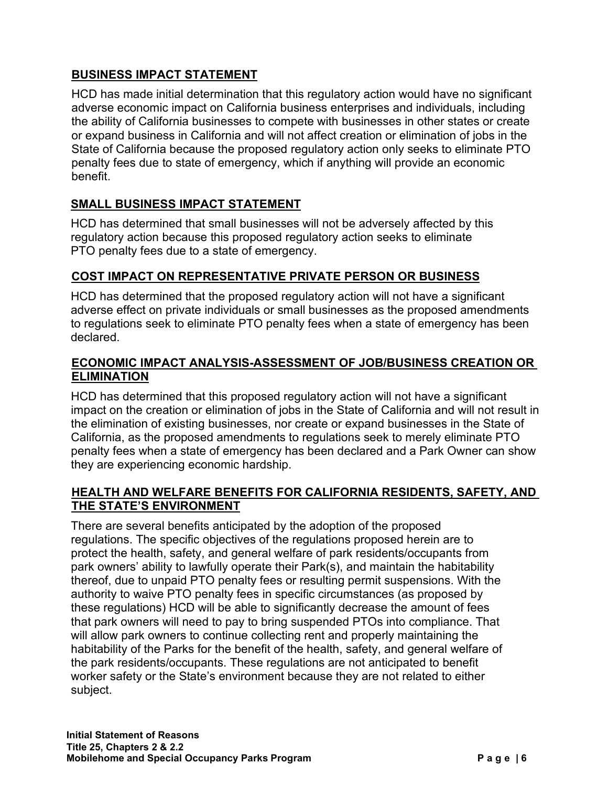## **BUSINESS IMPACT STATEMENT**

HCD has made initial determination that this regulatory action would have no significant adverse economic impact on California business enterprises and individuals, including the ability of California businesses to compete with businesses in other states or create or expand business in California and will not affect creation or elimination of jobs in the State of California because the proposed regulatory action only seeks to eliminate PTO penalty fees due to state of emergency, which if anything will provide an economic benefit.

# **SMALL BUSINESS IMPACT STATEMENT**

HCD has determined that small businesses will not be adversely affected by this regulatory action because this proposed regulatory action seeks to eliminate PTO penalty fees due to a state of emergency.

## **COST IMPACT ON REPRESENTATIVE PRIVATE PERSON OR BUSINESS**

HCD has determined that the proposed regulatory action will not have a significant adverse effect on private individuals or small businesses as the proposed amendments to regulations seek to eliminate PTO penalty fees when a state of emergency has been declared.

## **ECONOMIC IMPACT ANALYSIS-ASSESSMENT OF JOB/BUSINESS CREATION OR ELIMINATION**

HCD has determined that this proposed regulatory action will not have a significant impact on the creation or elimination of jobs in the State of California and will not result in the elimination of existing businesses, nor create or expand businesses in the State of California, as the proposed amendments to regulations seek to merely eliminate PTO penalty fees when a state of emergency has been declared and a Park Owner can show they are experiencing economic hardship.

## **HEALTH AND WELFARE BENEFITS FOR CALIFORNIA RESIDENTS, SAFETY, AND THE STATE'S ENVIRONMENT**

There are several benefits anticipated by the adoption of the proposed regulations. The specific objectives of the regulations proposed herein are to protect the health, safety, and general welfare of park residents/occupants from park owners' ability to lawfully operate their Park(s), and maintain the habitability thereof, due to unpaid PTO penalty fees or resulting permit suspensions. With the authority to waive PTO penalty fees in specific circumstances (as proposed by these regulations) HCD will be able to significantly decrease the amount of fees that park owners will need to pay to bring suspended PTOs into compliance. That will allow park owners to continue collecting rent and properly maintaining the habitability of the Parks for the benefit of the health, safety, and general welfare of the park residents/occupants. These regulations are not anticipated to benefit worker safety or the State's environment because they are not related to either subject.